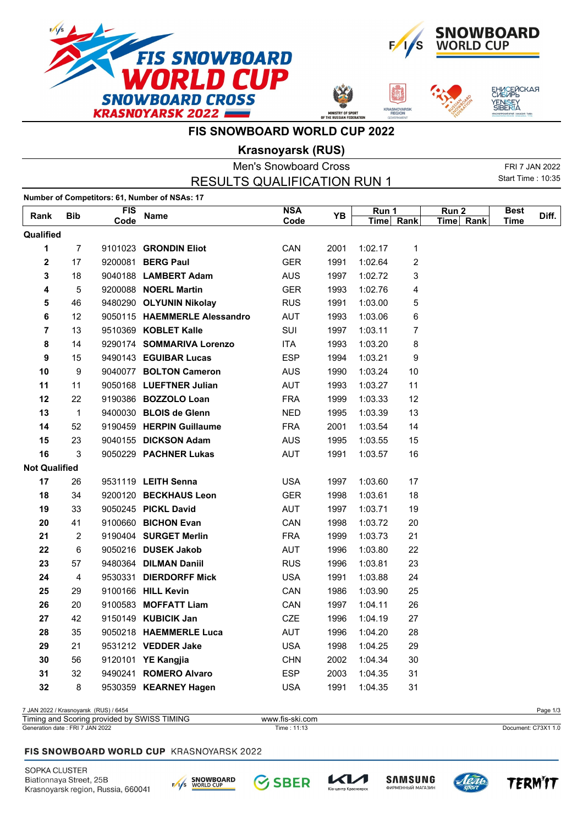







## **FIS SNOWBOARD WORLD CUP 2022**

**Krasnoyarsk (RUS)**

|                      |              |            |                                               | <b>Men's Snowboard Cross</b> |      |           |    |           |                          | FRI 7 JAN 2022 |
|----------------------|--------------|------------|-----------------------------------------------|------------------------------|------|-----------|----|-----------|--------------------------|----------------|
|                      |              |            | <b>RESULTS QUALIFICATION RUN 1</b>            |                              |      |           |    |           | <b>Start Time: 10:35</b> |                |
|                      |              |            | Number of Competitors: 61, Number of NSAs: 17 |                              |      |           |    |           |                          |                |
| Rank                 | <b>Bib</b>   | <b>FIS</b> | <b>Name</b>                                   | <b>NSA</b>                   | YB   | Run 1     |    | Run 2     | <b>Best</b>              | Diff.          |
|                      |              | Code       |                                               | Code                         |      | Time Rank |    | Time Rank | <b>Time</b>              |                |
| Qualified            |              |            |                                               |                              |      |           |    |           |                          |                |
| 1                    | 7            |            | 9101023 GRONDIN Eliot                         | CAN                          | 2001 | 1:02.17   | 1  |           |                          |                |
| 2                    | 17           |            | 9200081 BERG Paul                             | <b>GER</b>                   | 1991 | 1:02.64   | 2  |           |                          |                |
| 3                    | 18           |            | 9040188 LAMBERT Adam                          | <b>AUS</b>                   | 1997 | 1:02.72   | 3  |           |                          |                |
| 4                    | 5            |            | 9200088 NOERL Martin                          | <b>GER</b>                   | 1993 | 1:02.76   | 4  |           |                          |                |
| 5                    | 46           |            | 9480290 OLYUNIN Nikolay                       | <b>RUS</b>                   | 1991 | 1:03.00   | 5  |           |                          |                |
| 6                    | 12           |            | 9050115 HAEMMERLE Alessandro                  | <b>AUT</b>                   | 1993 | 1:03.06   | 6  |           |                          |                |
| 7                    | 13           |            | 9510369 KOBLET Kalle                          | SUI                          | 1997 | 1:03.11   | 7  |           |                          |                |
| 8                    | 14           |            | 9290174 SOMMARIVA Lorenzo                     | <b>ITA</b>                   | 1993 | 1:03.20   | 8  |           |                          |                |
| 9                    | 15           |            | 9490143 EGUIBAR Lucas                         | <b>ESP</b>                   | 1994 | 1:03.21   | 9  |           |                          |                |
| 10                   | 9            |            | 9040077 BOLTON Cameron                        | <b>AUS</b>                   | 1990 | 1:03.24   | 10 |           |                          |                |
| 11                   | 11           |            | 9050168 LUEFTNER Julian                       | <b>AUT</b>                   | 1993 | 1:03.27   | 11 |           |                          |                |
| 12                   | 22           |            | 9190386 BOZZOLO Loan                          | <b>FRA</b>                   | 1999 | 1:03.33   | 12 |           |                          |                |
| 13                   | $\mathbf{1}$ |            | 9400030 BLOIS de Glenn                        | <b>NED</b>                   | 1995 | 1:03.39   | 13 |           |                          |                |
| 14                   | 52           |            | 9190459 HERPIN Guillaume                      | <b>FRA</b>                   | 2001 | 1:03.54   | 14 |           |                          |                |
| 15                   | 23           |            | 9040155 DICKSON Adam                          | AUS                          | 1995 | 1:03.55   | 15 |           |                          |                |
| 16                   | 3            |            | 9050229 PACHNER Lukas                         | AUT                          | 1991 | 1:03.57   | 16 |           |                          |                |
| <b>Not Qualified</b> |              |            |                                               |                              |      |           |    |           |                          |                |
| 17                   | 26           |            | 9531119 LEITH Senna                           | <b>USA</b>                   | 1997 | 1:03.60   | 17 |           |                          |                |
| 18                   | 34           |            | 9200120 BECKHAUS Leon                         | <b>GER</b>                   | 1998 | 1:03.61   | 18 |           |                          |                |
| 19                   | 33           |            | 9050245 PICKL David                           | AUT                          | 1997 | 1:03.71   | 19 |           |                          |                |
| 20                   | 41           |            | 9100660 BICHON Evan                           | CAN                          | 1998 | 1:03.72   | 20 |           |                          |                |
| 21                   | 2            |            | 9190404 SURGET Merlin                         | <b>FRA</b>                   | 1999 | 1:03.73   | 21 |           |                          |                |
| 22                   | 6            |            | 9050216 DUSEK Jakob                           | <b>AUT</b>                   | 1996 | 1:03.80   | 22 |           |                          |                |
| 23                   | 57           |            | 9480364 DILMAN Daniil                         | <b>RUS</b>                   | 1996 | 1:03.81   | 23 |           |                          |                |
| 24                   | 4            |            | 9530331 DIERDORFF Mick                        | <b>USA</b>                   | 1991 | 1:03.88   | 24 |           |                          |                |
| 25                   | 29           |            | 9100166 HILL Kevin                            | CAN                          | 1986 | 1:03.90   | 25 |           |                          |                |
| 26                   | 20           |            | 9100583 MOFFATT Liam                          | CAN                          | 1997 | 1:04.11   | 26 |           |                          |                |
| 27                   | 42           |            | 9150149 KUBICIK Jan                           | <b>CZE</b>                   | 1996 | 1:04.19   | 27 |           |                          |                |
| 28                   | 35           |            | 9050218 HAEMMERLE Luca                        | <b>AUT</b>                   | 1996 | 1:04.20   | 28 |           |                          |                |
| 29                   | 21           |            | 9531212 VEDDER Jake                           | <b>USA</b>                   | 1998 | 1:04.25   | 29 |           |                          |                |
| 30                   | 56           |            | 9120101 YE Kangjia                            | <b>CHN</b>                   | 2002 | 1:04.34   | 30 |           |                          |                |
| 31                   | 32           |            | 9490241 ROMERO Alvaro                         | <b>ESP</b>                   | 2003 | 1:04.35   | 31 |           |                          |                |
| 32                   | 8            |            | 9530359 KEARNEY Hagen                         | <b>USA</b>                   | 1991 | 1:04.35   | 31 |           |                          |                |
|                      |              |            |                                               |                              |      |           |    |           |                          |                |

7 JAN 2022 / Krasnoyarsk (RUS) / 6454 Page 1/3

| $- \cdot$<br>"IMING<br><b>SWISS</b><br>Timing<br>⊧and<br>provided<br>Scoring<br>nv | -ski com<br>www.<br>w.fis |                          |
|------------------------------------------------------------------------------------|---------------------------|--------------------------|
| <b>JAN 2022</b><br>. FRI $7$<br>Generation date:                                   | 11.1<br>Time : 1<br>.     | : C73X1 1.0<br>Document: |

#### FIS SNOWBOARD WORLD CUP KRASNOYARSK 2022

SOPKA CLUSTER Biatlonnaya Street, 25B Krasnoyarsk region, Russia, 660041





.<br>тр Красн





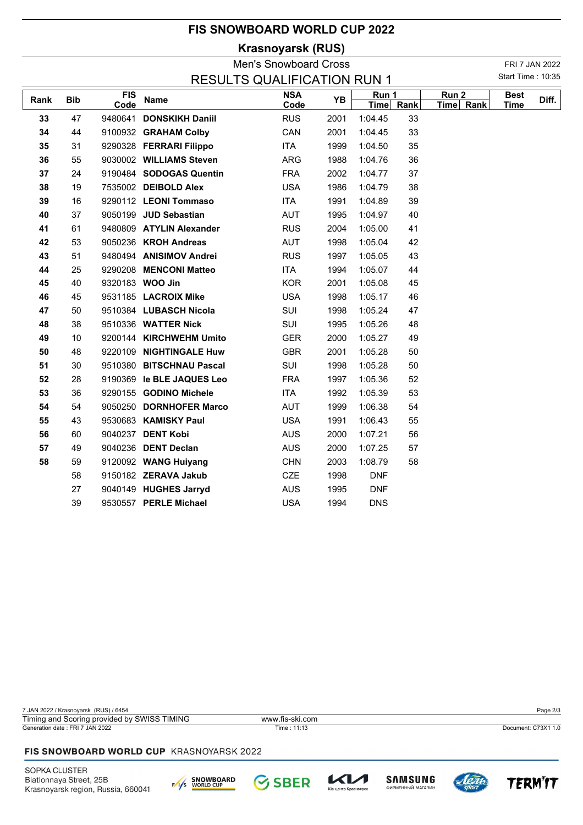# **FIS SNOWBOARD WORLD CUP 2022**

**Krasnoyarsk (RUS)**

Men's Snowboard Cross FRI 7 JAN 2022 Start Time : 10:35

| <b>RESULTS QUALIFICATION RUN 1</b> |            |                    |                           |                    |      |                  |      |                               |                            | Start Time: 10:35 |  |  |
|------------------------------------|------------|--------------------|---------------------------|--------------------|------|------------------|------|-------------------------------|----------------------------|-------------------|--|--|
| Rank                               | <b>Bib</b> | <b>FIS</b><br>Code | Name                      | <b>NSA</b><br>Code | YB   | Run 1<br>$T$ ime | Rank | Run <sub>2</sub><br>Time Rank | <b>Best</b><br><b>Time</b> | Diff.             |  |  |
| 33                                 | 47         |                    | 9480641 DONSKIKH Daniil   | <b>RUS</b>         | 2001 | 1:04.45          | 33   |                               |                            |                   |  |  |
| 34                                 | 44         |                    | 9100932 GRAHAM Colby      | CAN                | 2001 | 1:04.45          | 33   |                               |                            |                   |  |  |
| 35                                 | 31         |                    | 9290328 FERRARI Filippo   | <b>ITA</b>         | 1999 | 1:04.50          | 35   |                               |                            |                   |  |  |
| 36                                 | 55         |                    | 9030002 WILLIAMS Steven   | ARG                | 1988 | 1:04.76          | 36   |                               |                            |                   |  |  |
| 37                                 | 24         |                    | 9190484 SODOGAS Quentin   | <b>FRA</b>         | 2002 | 1:04.77          | 37   |                               |                            |                   |  |  |
| 38                                 | 19         |                    | 7535002 DEIBOLD Alex      | <b>USA</b>         | 1986 | 1:04.79          | 38   |                               |                            |                   |  |  |
| 39                                 | 16         |                    | 9290112 LEONI Tommaso     | <b>ITA</b>         | 1991 | 1:04.89          | 39   |                               |                            |                   |  |  |
| 40                                 | 37         |                    | 9050199 JUD Sebastian     | <b>AUT</b>         | 1995 | 1:04.97          | 40   |                               |                            |                   |  |  |
| 41                                 | 61         |                    | 9480809 ATYLIN Alexander  | <b>RUS</b>         | 2004 | 1:05.00          | 41   |                               |                            |                   |  |  |
| 42                                 | 53         |                    | 9050236 KROH Andreas      | AUT                | 1998 | 1:05.04          | 42   |                               |                            |                   |  |  |
| 43                                 | 51         |                    | 9480494 ANISIMOV Andrei   | <b>RUS</b>         | 1997 | 1:05.05          | 43   |                               |                            |                   |  |  |
| 44                                 | 25         |                    | 9290208 MENCONI Matteo    | ITA                | 1994 | 1:05.07          | 44   |                               |                            |                   |  |  |
| 45                                 | 40         |                    | 9320183 WOO Jin           | <b>KOR</b>         | 2001 | 1:05.08          | 45   |                               |                            |                   |  |  |
| 46                                 | 45         |                    | 9531185 LACROIX Mike      | <b>USA</b>         | 1998 | 1:05.17          | 46   |                               |                            |                   |  |  |
| 47                                 | 50         |                    | 9510384 LUBASCH Nicola    | SUI                | 1998 | 1:05.24          | 47   |                               |                            |                   |  |  |
| 48                                 | 38         |                    | 9510336 WATTER Nick       | SUI                | 1995 | 1:05.26          | 48   |                               |                            |                   |  |  |
| 49                                 | 10         |                    | 9200144 KIRCHWEHM Umito   | <b>GER</b>         | 2000 | 1:05.27          | 49   |                               |                            |                   |  |  |
| 50                                 | 48         |                    | 9220109 NIGHTINGALE Huw   | <b>GBR</b>         | 2001 | 1:05.28          | 50   |                               |                            |                   |  |  |
| 51                                 | 30         |                    | 9510380 BITSCHNAU Pascal  | SUI                | 1998 | 1:05.28          | 50   |                               |                            |                   |  |  |
| 52                                 | 28         |                    | 9190369 le BLE JAQUES Leo | <b>FRA</b>         | 1997 | 1:05.36          | 52   |                               |                            |                   |  |  |
| 53                                 | 36         |                    | 9290155 GODINO Michele    | <b>ITA</b>         | 1992 | 1:05.39          | 53   |                               |                            |                   |  |  |
| 54                                 | 54         |                    | 9050250 DORNHOFER Marco   | <b>AUT</b>         | 1999 | 1:06.38          | 54   |                               |                            |                   |  |  |
| 55                                 | 43         |                    | 9530683 KAMISKY Paul      | <b>USA</b>         | 1991 | 1:06.43          | 55   |                               |                            |                   |  |  |
| 56                                 | 60         |                    | 9040237 DENT Kobi         | <b>AUS</b>         | 2000 | 1:07.21          | 56   |                               |                            |                   |  |  |
| 57                                 | 49         |                    | 9040236 DENT Declan       | <b>AUS</b>         | 2000 | 1:07.25          | 57   |                               |                            |                   |  |  |
| 58                                 | 59         |                    | 9120092 WANG Huiyang      | <b>CHN</b>         | 2003 | 1:08.79          | 58   |                               |                            |                   |  |  |
|                                    | 58         |                    | 9150182 ZERAVA Jakub      | <b>CZE</b>         | 1998 | <b>DNF</b>       |      |                               |                            |                   |  |  |
|                                    | 27         |                    | 9040149 HUGHES Jarryd     | <b>AUS</b>         | 1995 | <b>DNF</b>       |      |                               |                            |                   |  |  |
|                                    | 39         |                    | 9530557 PERLE Michael     | <b>USA</b>         | 1994 | <b>DNS</b>       |      |                               |                            |                   |  |  |

7 JAN 2022 / Krasnoyarsk (RUS) / 6454 Page 2/3 Generation date : FRI 7 JAN 2022 Time : 11:13 Document: C73X1 1.0 Timing and Scoring provided by SWISS TIMING www.fis-ski.com

### FIS SNOWBOARD WORLD CUP KRASNOYARSK 2022